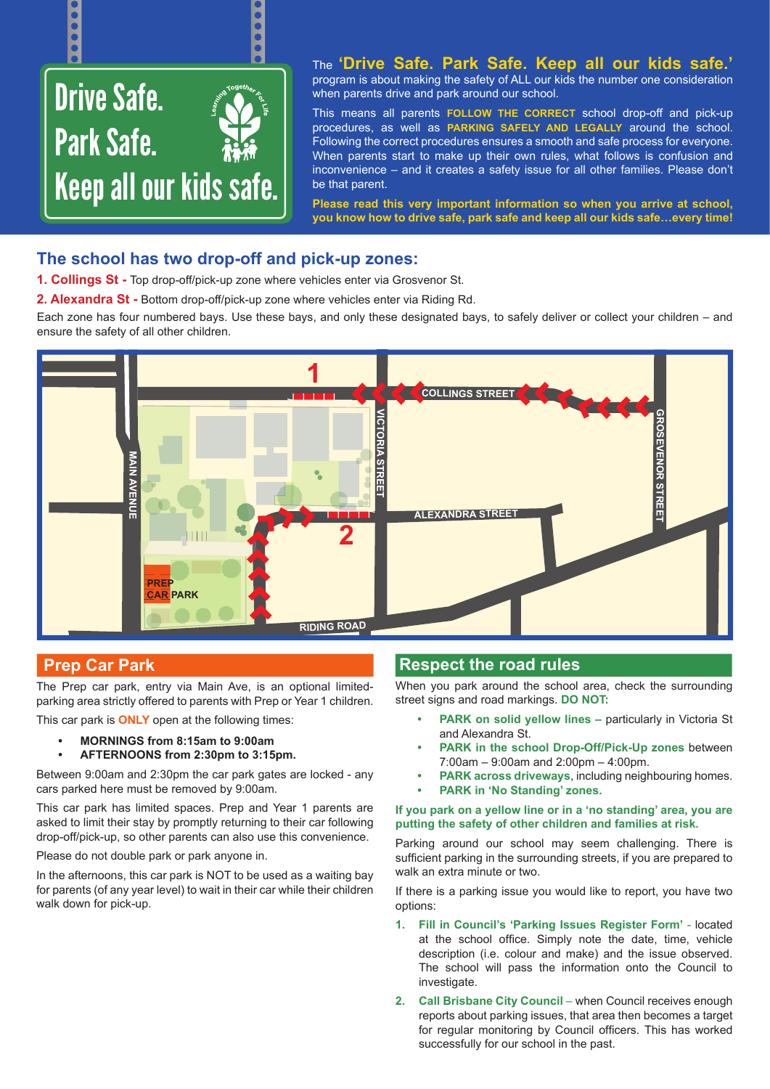

# **The school has two drop-off and pick-up zones:**

**1. Collings St -** Top drop-off/pick-up zone where vehicles enter via Grosvenor St.

**2. Alexandra St -** Bottom drop-off/pick-up zone where vehicles enter via Riding Rd.

Each zone has four numbered bays. Use these bays, and only these designated bays, to safely deliver or collect your children – and ensure the safety of all other children.



## **Prep Car Park**

The Prep car park, entry via Main Ave, is an optional limitedparking area strictly offered to parents with Prep or Year 1 children.

This car park is **ONLY** open at the following times:

- **• MORNINGS from 8:15am to 9:00am**
- **• AFTERNOONS from 2:30pm to 3:15pm.**

Between 9:00am and 2:30pm the car park gates are locked - any cars parked here must be removed by 9:00am.

This car park has limited spaces. Prep and Year 1 parents are asked to limit their stay by promptly returning to their car following drop-off/pick-up, so other parents can also use this convenience.

Please do not double park or park anyone in.

In the afternoons, this car park is NOT to be used as a waiting bay for parents (of any year level) to wait in their car while their children walk down for pick-up.

## **Respect the road rules**

When you park around the school area, check the surrounding street signs and road markings. **DO NOT:**

- **• PARK on solid yellow lines –** particularly in Victoria St and Alexandra St.
- **• PARK in the school Drop-Off/Pick-Up zones** between 7:00am – 9:00am and 2:00pm – 4:00pm.
- **• PARK across driveways**, including neighbouring homes.
- **• PARK in 'No Standing' zones.**

#### **If you park on a yellow line or in a 'no standing' area, you are putting the safety of other children and families at risk.**

Parking around our school may seem challenging. There is sufficient parking in the surrounding streets, if you are prepared to walk an extra minute or two.

If there is a parking issue you would like to report, you have two options:

- **1. Fill in Council's 'Parking Issues Register Form'** located at the school office. Simply note the date, time, vehicle description (i.e. colour and make) and the issue observed. The school will pass the information onto the Council to investigate.
- **2. Call Brisbane City Council** when Council receives enough reports about parking issues, that area then becomes a target for regular monitoring by Council officers. This has worked successfully for our school in the past.